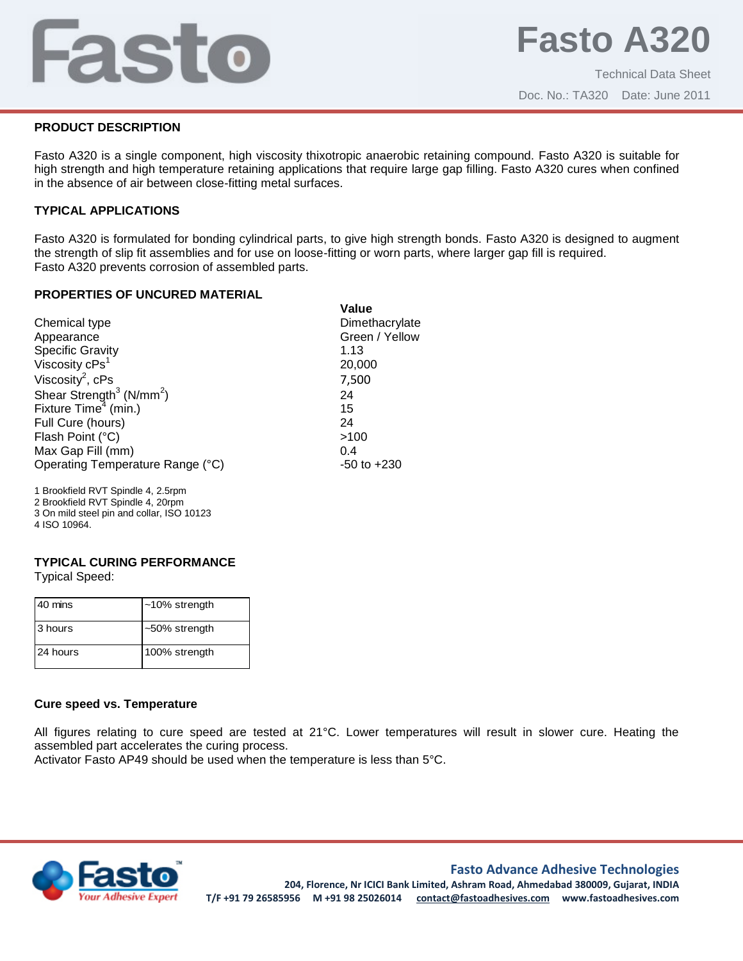# Fasto

## **PRODUCT DESCRIPTION**

Fasto A320 is a single component, high viscosity thixotropic anaerobic retaining compound. Fasto A320 is suitable for high strength and high temperature retaining applications that require large gap filling. Fasto A320 cures when confined in the absence of air between close-fitting metal surfaces.

# **TYPICAL APPLICATIONS**

Fasto A320 is formulated for bonding cylindrical parts, to give high strength bonds. Fasto A320 is designed to augment the strength of slip fit assemblies and for use on loose-fitting or worn parts, where larger gap fill is required. Fasto A320 prevents corrosion of assembled parts.

## **PROPERTIES OF UNCURED MATERIAL**

|                                                  | Value           |
|--------------------------------------------------|-----------------|
| Chemical type                                    | Dimethacrylate  |
| Appearance                                       | Green / Yellow  |
| Specific Gravity<br>Viscosity cPs <sup>1</sup>   | 1.13            |
|                                                  | 20,000          |
| Viscosity <sup>2</sup> , $cPs$                   | 7,500           |
| Shear Strength <sup>3</sup> (N/mm <sup>2</sup> ) | 24              |
| Fixture $Time4$ (min.)                           | 15              |
| Full Cure (hours)                                | 24              |
| Flash Point (°C)                                 | >100            |
| Max Gap Fill (mm)                                | 0.4             |
| Operating Temperature Range (°C)                 | $-50$ to $+230$ |
|                                                  |                 |

1 Brookfield RVT Spindle 4, 2.5rpm

- 2 Brookfield RVT Spindle 4, 20rpm
- 3 On mild steel pin and collar, ISO 10123
- 4 ISO 10964.

# **TYPICAL CURING PERFORMANCE**

Typical Speed:

| 40 mins  | $~10\%$ strength |
|----------|------------------|
| 3 hours  | $~50\%$ strength |
| 24 hours | 100% strength    |

# **Cure speed vs. Temperature**

All figures relating to cure speed are tested at 21°C. Lower temperatures will result in slower cure. Heating the assembled part accelerates the curing process.

Activator Fasto AP49 should be used when the temperature is less than 5°C.



# **Fasto Advance Adhesive Technologies**

**204, Florence, Nr ICICI Bank Limited, Ashram Road, Ahmedabad 380009, Gujarat, INDIA T/F +91 79 26585956 M +91 98 25026014 contact@fastoadhesives.com www.fastoadhesives.com**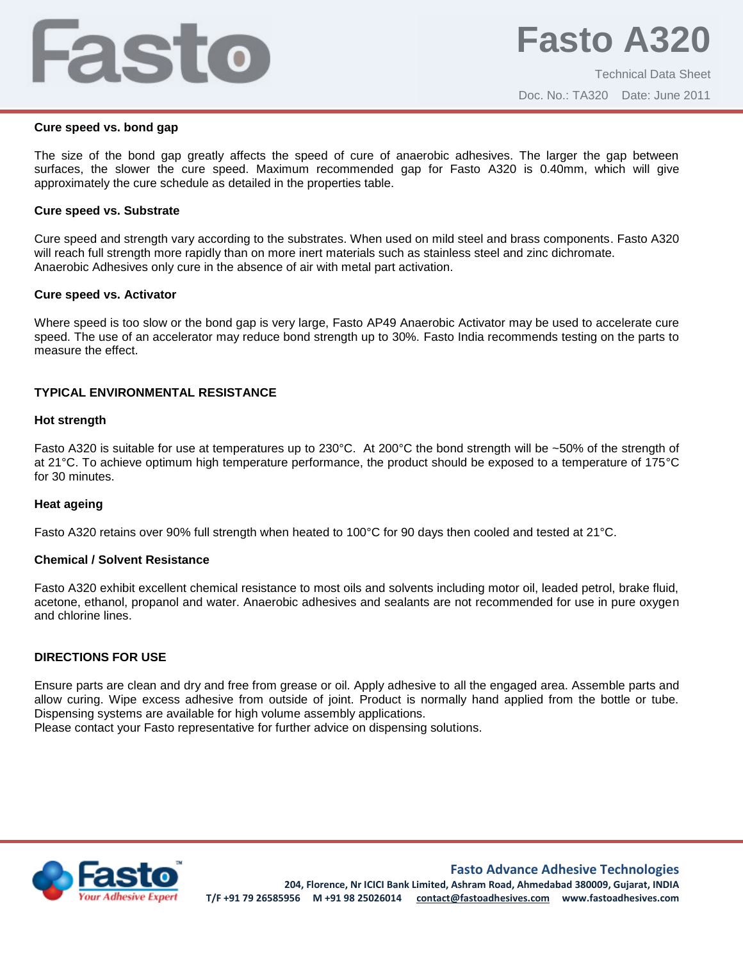# Fasto

#### **Cure speed vs. bond gap**

The size of the bond gap greatly affects the speed of cure of anaerobic adhesives. The larger the gap between surfaces, the slower the cure speed. Maximum recommended gap for Fasto A320 is 0.40mm, which will give approximately the cure schedule as detailed in the properties table.

#### **Cure speed vs. Substrate**

Cure speed and strength vary according to the substrates. When used on mild steel and brass components. Fasto A320 will reach full strength more rapidly than on more inert materials such as stainless steel and zinc dichromate. Anaerobic Adhesives only cure in the absence of air with metal part activation.

#### **Cure speed vs. Activator**

Where speed is too slow or the bond gap is very large, Fasto AP49 Anaerobic Activator may be used to accelerate cure speed. The use of an accelerator may reduce bond strength up to 30%. Fasto India recommends testing on the parts to measure the effect.

## **TYPICAL ENVIRONMENTAL RESISTANCE**

#### **Hot strength**

Fasto A320 is suitable for use at temperatures up to 230°C. At 200°C the bond strength will be ~50% of the strength of at 21°C. To achieve optimum high temperature performance, the product should be exposed to a temperature of 175°C for 30 minutes.

#### **Heat ageing**

Fasto A320 retains over 90% full strength when heated to 100°C for 90 days then cooled and tested at 21°C.

#### **Chemical / Solvent Resistance**

Fasto A320 exhibit excellent chemical resistance to most oils and solvents including motor oil, leaded petrol, brake fluid, acetone, ethanol, propanol and water. Anaerobic adhesives and sealants are not recommended for use in pure oxygen and chlorine lines.

#### **DIRECTIONS FOR USE**

Ensure parts are clean and dry and free from grease or oil. Apply adhesive to all the engaged area. Assemble parts and allow curing. Wipe excess adhesive from outside of joint. Product is normally hand applied from the bottle or tube. Dispensing systems are available for high volume assembly applications.

Please contact your Fasto representative for further advice on dispensing solutions.



**Fasto Advance Adhesive Technologies**

**204, Florence, Nr ICICI Bank Limited, Ashram Road, Ahmedabad 380009, Gujarat, INDIA T/F +91 79 26585956 M +91 98 25026014 contact@fastoadhesives.com www.fastoadhesives.com**